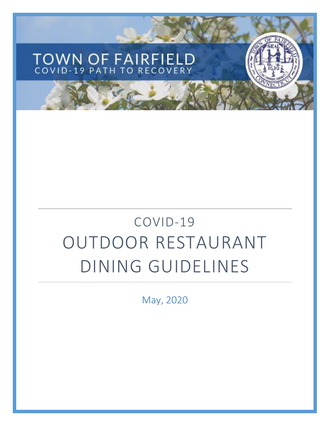# TOWN OF FAIRFIELD<br>COVID-19 PATH TO RECOVERY

## COVID-19 OUTDOOR RESTAURANT DINING GUIDELINES

May, 2020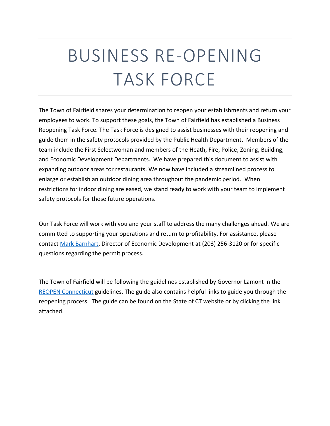## BUSINESS RE-OPENING TASK FORCE

The Town of Fairfield shares your determination to reopen your establishments and return your employees to work. To support these goals, the Town of Fairfield has established a Business Reopening Task Force. The Task Force is designed to assist businesses with their reopening and guide them in the safety protocols provided by the Public Health Department. Members of the team include the First Selectwoman and members of the Heath, Fire, Police, Zoning, Building, and Economic Development Departments. We have prepared this document to assist with expanding outdoor areas for restaurants. We now have included a streamlined process to enlarge or establish an outdoor dining area throughout the pandemic period. When restrictions for indoor dining are eased, we stand ready to work with your team to implement safety protocols for those future operations.

Our Task Force will work with you and your staff to address the many challenges ahead. We are committed to supporting your operations and return to profitability. For assistance, please contact [Mark Barnhart,](mailto:mbarnhart@fairfieldct.org) Director of Economic Development at (203) 256-3120 or for specific questions regarding the permit process.

The Town of Fairfield will be following the guidelines established by Governor Lamont in the [REOPEN Connecticut](https://portal.ct.gov/-/media/DECD/Covid_Business_Recovery/CTReopens_Restaurants_C5_V1.pdf?la=en) guidelines. The guide also contains helpful links to guide you through the reopening process. The guide can be found on the State of CT website or by clicking the link attached.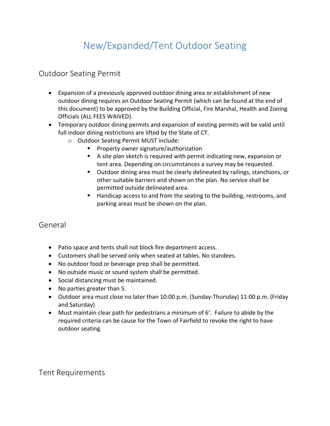### New/Expanded/Tent Outdoor Seating

#### Outdoor Seating Permit

- Expansion of a previously approved outdoor dining area or establishment of new outdoor dining requires an Outdoor Seating Permit (which can be found at the end of this document) to be approved by the Building Official, Fire Marshal, Health and Zoning Officials (ALL FEES WAIVED).
- Temporary outdoor dining permits and expansion of existing permits will be valid until full indoor dining restrictions are lifted by the State of CT.
	- o Outdoor Seating Permit MUST include:
		- **Property owner signature/authorization**
		- A site plan sketch is required with permit indicating new, expansion or tent area. Depending on circumstances a survey may be requested.
		- Outdoor dining area must be clearly delineated by railings, stanchions, or other suitable barriers and shown on the plan. No service shall be permitted outside delineated area.
		- Handicap access to and from the seating to the building, restrooms, and parking areas must be shown on the plan.

#### General

- Patio space and tents shall not block fire department access.
- Customers shall be served only when seated at tables. No standees.
- No outdoor food or beverage prep shall be permitted.
- No outside music or sound system shall be permitted.
- Social distancing must be maintained.
- No parties greater than 5.
- Outdoor area must close no later than 10:00 p.m. (Sunday-Thursday) 11:00 p.m. (Friday and Saturday)
- Must maintain clear path for pedestrians a minimum of 6'. Failure to abide by the required criteria can be cause for the Town of Fairfield to revoke the right to have outdoor seating.

Tent Requirements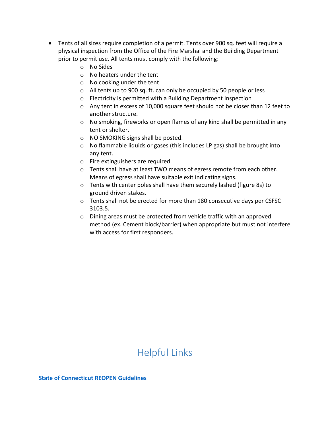- Tents of all sizes require completion of a permit. Tents over 900 sq. feet will require a physical inspection from the Office of the Fire Marshal and the Building Department prior to permit use. All tents must comply with the following:
	- o No Sides
	- o No heaters under the tent
	- o No cooking under the tent
	- o All tents up to 900 sq. ft. can only be occupied by 50 people or less
	- o Electricity is permitted with a Building Department Inspection
	- o Any tent in excess of 10,000 square feet should not be closer than 12 feet to another structure.
	- $\circ$  No smoking, fireworks or open flames of any kind shall be permitted in any tent or shelter.
	- o NO SMOKING signs shall be posted.
	- o No flammable liquids or gases (this includes LP gas) shall be brought into any tent.
	- o Fire extinguishers are required.
	- o Tents shall have at least TWO means of egress remote from each other. Means of egress shall have suitable exit indicating signs.
	- o Tents with center poles shall have them securely lashed (figure 8s) to ground driven stakes.
	- o Tents shall not be erected for more than 180 consecutive days per CSFSC 3103.5.
	- o Dining areas must be protected from vehicle traffic with an approved method (ex. Cement block/barrier) when appropriate but must not interfere with access for first responders.

### Helpful Links